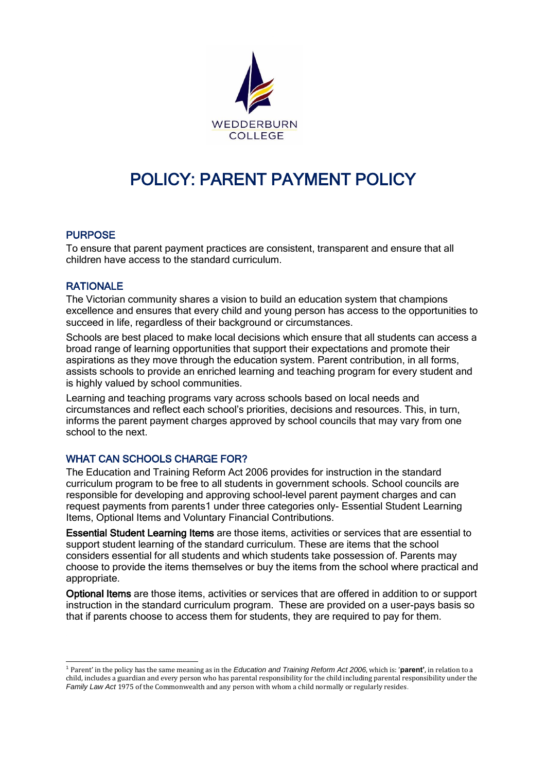

# POLICY: PARENT PAYMENT POLICY

### PURPOSE

To ensure that parent payment practices are consistent, transparent and ensure that all children have access to the standard curriculum.

### **RATIONALE**

-

The Victorian community shares a vision to build an education system that champions excellence and ensures that every child and young person has access to the opportunities to succeed in life, regardless of their background or circumstances.

Schools are best placed to make local decisions which ensure that all students can access a broad range of learning opportunities that support their expectations and promote their aspirations as they move through the education system. Parent contribution, in all forms, assists schools to provide an enriched learning and teaching program for every student and is highly valued by school communities.

Learning and teaching programs vary across schools based on local needs and circumstances and reflect each school's priorities, decisions and resources. This, in turn, informs the parent payment charges approved by school councils that may vary from one school to the next.

### WHAT CAN SCHOOLS CHARGE FOR?

The Education and Training Reform Act 2006 provides for instruction in the standard curriculum program to be free to all students in government schools. School councils are responsible for developing and approving school-level parent payment charges and can request payments from parents1 under three categories only- Essential Student Learning Items, Optional Items and Voluntary Financial Contributions.

Essential Student Learning Items are those items, activities or services that are essential to support student learning of the standard curriculum. These are items that the school considers essential for all students and which students take possession of. Parents may choose to provide the items themselves or buy the items from the school where practical and appropriate.

Optional Items are those items, activities or services that are offered in addition to or support instruction in the standard curriculum program. These are provided on a user-pays basis so that if parents choose to access them for students, they are required to pay for them.

<sup>1</sup> Parent' in the policy has the same meaning as in the *Education and Training Reform Act 2006*, which is: '**parent'**, in relation to a child, includes a guardian and every person who has parental responsibility for the child including parental responsibility under the *Family Law Act* 1975 of the Commonwealth and any person with whom a child normally or regularly resides.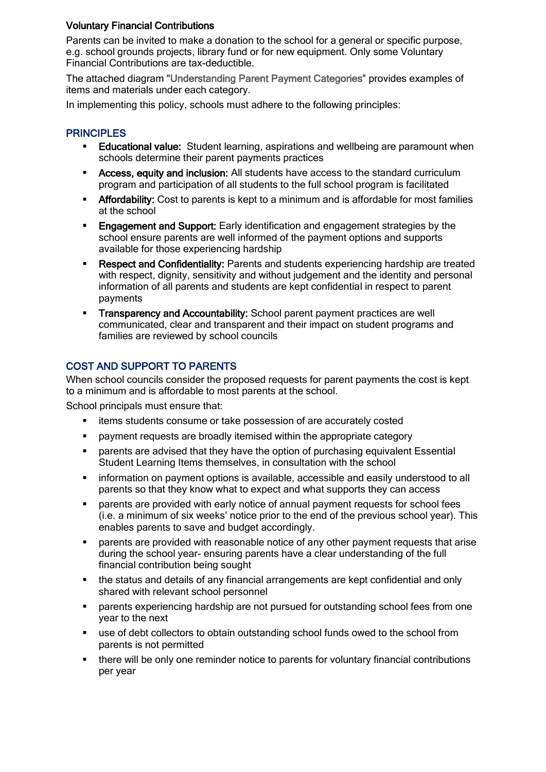### Voluntary Financial Contributions

Parents can be invited to make a donation to the school for a general or specific purpose, e.g. school grounds projects, library fund or for new equipment. Only some Voluntary Financial Contributions are tax-deductible.

The attached diagram "Understanding Parent Payment Categories" provides examples of items and materials under each category.

In implementing this policy, schools must adhere to the following principles:

### **PRINCIPLES**

- **Educational value:** Student learning, aspirations and wellbeing are paramount when schools determine their parent payments practices
- Access, equity and inclusion: All students have access to the standard curriculum program and participation of all students to the full school program is facilitated
- **Affordability:** Cost to parents is kept to a minimum and is affordable for most families at the school
- **Engagement and Support:** Early identification and engagement strategies by the school ensure parents are well informed of the payment options and supports available for those experiencing hardship
- Respect and Confidentiality: Parents and students experiencing hardship are treated with respect, dignity, sensitivity and without judgement and the identity and personal information of all parents and students are kept confidential in respect to parent payments
- **Transparency and Accountability:** School parent payment practices are well communicated, clear and transparent and their impact on student programs and families are reviewed by school councils

### COST AND SUPPORT TO PARENTS

When school councils consider the proposed requests for parent payments the cost is kept to a minimum and is affordable to most parents at the school.

School principals must ensure that:

- **EXECT** items students consume or take possession of are accurately costed
- payment requests are broadly itemised within the appropriate category
- parents are advised that they have the option of purchasing equivalent Essential Student Learning Items themselves, in consultation with the school
- **EXECT** information on payment options is available, accessible and easily understood to all parents so that they know what to expect and what supports they can access
- parents are provided with early notice of annual payment requests for school fees (i.e. a minimum of six weeks' notice prior to the end of the previous school year). This enables parents to save and budget accordingly.
- parents are provided with reasonable notice of any other payment requests that arise during the school year- ensuring parents have a clear understanding of the full financial contribution being sought
- the status and details of any financial arrangements are kept confidential and only shared with relevant school personnel
- parents experiencing hardship are not pursued for outstanding school fees from one year to the next
- use of debt collectors to obtain outstanding school funds owed to the school from parents is not permitted
- there will be only one reminder notice to parents for voluntary financial contributions per year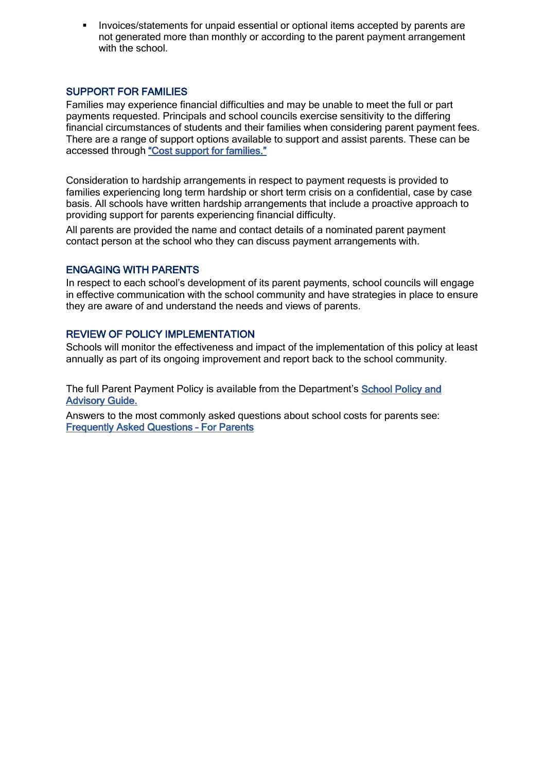**Invoices/statements for unpaid essential or optional items accepted by parents are** not generated more than monthly or according to the parent payment arrangement with the school.

### SUPPORT FOR FAMILIES

Families may experience financial difficulties and may be unable to meet the full or part payments requested. Principals and school councils exercise sensitivity to the differing financial circumstances of students and their families when considering parent payment fees. There are a range of support options available to support and assist parents. These can be accessed through ["Cost support for families."](http://www.education.vic.gov.au/Documents/school/principals/spag/management/PP_Costsupportforfamilies.docx)

Consideration to hardship arrangements in respect to payment requests is provided to families experiencing long term hardship or short term crisis on a confidential, case by case basis. All schools have written hardship arrangements that include a proactive approach to providing support for parents experiencing financial difficulty.

All parents are provided the name and contact details of a nominated parent payment contact person at the school who they can discuss payment arrangements with.

### ENGAGING WITH PARENTS

In respect to each school's development of its parent payments, school councils will engage in effective communication with the school community and have strategies in place to ensure they are aware of and understand the needs and views of parents.

### REVIEW OF POLICY IMPLEMENTATION

Schools will monitor the effectiveness and impact of the implementation of this policy at least annually as part of its ongoing improvement and report back to the school community.

The full Parent Payment Policy is available from the Department's [School Policy and](http://www.education.vic.gov.au/school/principals/spag/management/pages/parentpayments.aspx)  [Advisory Guide.](http://www.education.vic.gov.au/school/principals/spag/management/pages/parentpayments.aspx)

Answers to the most commonly asked questions about school costs for parents see: [Frequently Asked Questions](http://www.education.vic.gov.au/Documents/school/principals/spag/management/PP_FAQforparents.docx) – For Parents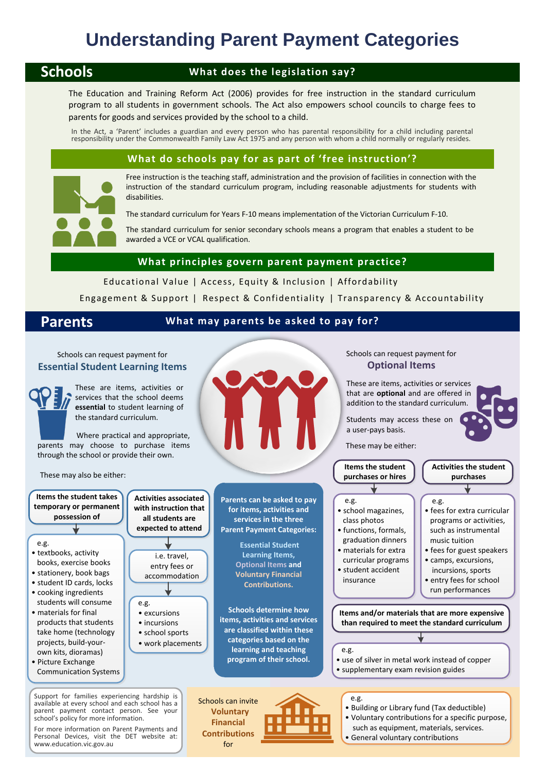## **Understanding Parent Payment Categories**

## **Schools**

### **What does the legislation say?**

The Education and Training Reform Act (2006) provides for free instruction in the standard curriculum program to all students in government schools. The Act also empowers school councils to charge fees to parents for goods and services provided by the school to a child.

### **What do schools pay for as part of 'free instruction'?**



Free instruction is the teaching staff, administration and the provision of facilities in connection with the instruction of the standard curriculum program, including reasonable adjustments for students with In the Act, a 'Parent' includes a guardian and every person who has parental responsibility for a child including parental responsibility under the Commonwealth Family Law Act 1975 and any person with whom a child normally

The standard curriculum for Years F-10 means implementation of the Victorian Curriculum F-10.

The standard curriculum for senior secondary schools means a program that enables a student to be awarded a VCE or VCAL qualification.

Educational Value | Access, Equity & Inclusion | Affordability Engagement & Support <sup>|</sup> Respect & Confidentiality <sup>|</sup> Transparency & Accountability **What principles govern parent payment practice?**

### **Parents What may parents be asked to pay for?**

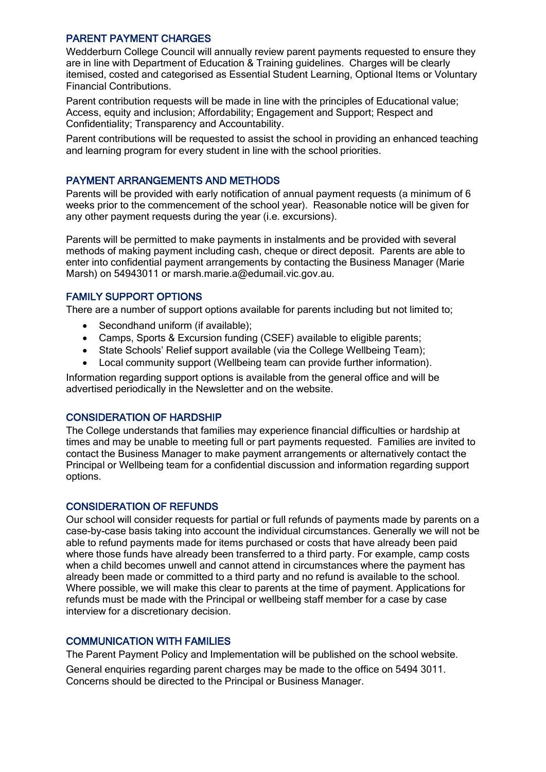### PARENT PAYMENT CHARGES

Wedderburn College Council will annually review parent payments requested to ensure they are in line with Department of Education & Training guidelines. Charges will be clearly itemised, costed and categorised as Essential Student Learning, Optional Items or Voluntary Financial Contributions.

Parent contribution requests will be made in line with the principles of Educational value; Access, equity and inclusion; Affordability; Engagement and Support; Respect and Confidentiality; Transparency and Accountability.

Parent contributions will be requested to assist the school in providing an enhanced teaching and learning program for every student in line with the school priorities.

### PAYMENT ARRANGEMENTS AND METHODS

Parents will be provided with early notification of annual payment requests (a minimum of 6 weeks prior to the commencement of the school year). Reasonable notice will be given for any other payment requests during the year (i.e. excursions).

Parents will be permitted to make payments in instalments and be provided with several methods of making payment including cash, cheque or direct deposit. Parents are able to enter into confidential payment arrangements by contacting the Business Manager (Marie Marsh) on 54943011 or marsh.marie.a@edumail.vic.gov.au.

### FAMILY SUPPORT OPTIONS

There are a number of support options available for parents including but not limited to;

- Secondhand uniform (if available);
- Camps, Sports & Excursion funding (CSEF) available to eligible parents;
- State Schools' Relief support available (via the College Wellbeing Team);
- Local community support (Wellbeing team can provide further information).

Information regarding support options is available from the general office and will be advertised periodically in the Newsletter and on the website.

### CONSIDERATION OF HARDSHIP

The College understands that families may experience financial difficulties or hardship at times and may be unable to meeting full or part payments requested. Families are invited to contact the Business Manager to make payment arrangements or alternatively contact the Principal or Wellbeing team for a confidential discussion and information regarding support options.

### CONSIDERATION OF REFUNDS

Our school will consider requests for partial or full refunds of payments made by parents on a case-by-case basis taking into account the individual circumstances. Generally we will not be able to refund payments made for items purchased or costs that have already been paid where those funds have already been transferred to a third party. For example, camp costs when a child becomes unwell and cannot attend in circumstances where the payment has already been made or committed to a third party and no refund is available to the school. Where possible, we will make this clear to parents at the time of payment. Applications for refunds must be made with the Principal or wellbeing staff member for a case by case interview for a discretionary decision.

### COMMUNICATION WITH FAMILIES

The Parent Payment Policy and Implementation will be published on the school website.

General enquiries regarding parent charges may be made to the office on 5494 3011. Concerns should be directed to the Principal or Business Manager.